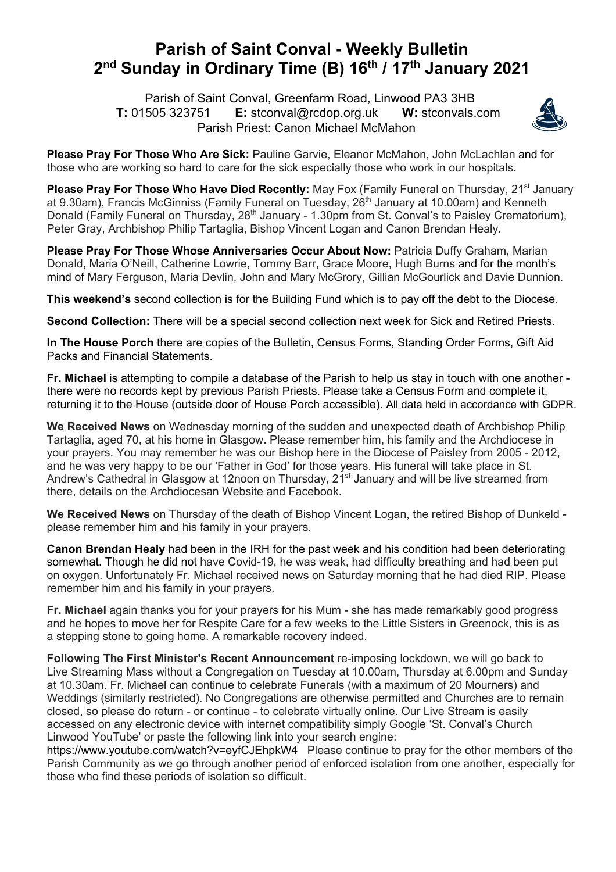## **Parish of Saint Conval - Weekly Bulletin 2nd Sunday in Ordinary Time (B) 16th / 17th January 2021**

 Parish of Saint Conval, Greenfarm Road, Linwood PA3 3HB **T:** 01505 323751 **E:** stconval@rcdop.org.uk **W:** stconvals.com Parish Priest: Canon Michael McMahon



**Please Pray For Those Who Are Sick:** Pauline Garvie, Eleanor McMahon, John McLachlan and for those who are working so hard to care for the sick especially those who work in our hospitals.

**Please Pray For Those Who Have Died Recently:** May Fox (Family Funeral on Thursday, 21<sup>st</sup> January at 9.30am), Francis McGinniss (Family Funeral on Tuesday, 26<sup>th</sup> January at 10.00am) and Kenneth Donald (Family Funeral on Thursday, 28<sup>th</sup> January - 1.30pm from St. Conval's to Paisley Crematorium), Peter Gray, Archbishop Philip Tartaglia, Bishop Vincent Logan and Canon Brendan Healy.

**Please Pray For Those Whose Anniversaries Occur About Now:** Patricia Duffy Graham, Marian Donald, Maria O'Neill, Catherine Lowrie, Tommy Barr, Grace Moore, Hugh Burns and for the month's mind of Mary Ferguson, Maria Devlin, John and Mary McGrory, Gillian McGourlick and Davie Dunnion.

**This weekend's** second collection is for the Building Fund which is to pay off the debt to the Diocese.

**Second Collection:** There will be a special second collection next week for Sick and Retired Priests.

**In The House Porch** there are copies of the Bulletin, Census Forms, Standing Order Forms, Gift Aid Packs and Financial Statements.

**Fr. Michael** is attempting to compile a database of the Parish to help us stay in touch with one another there were no records kept by previous Parish Priests. Please take a Census Form and complete it, returning it to the House (outside door of House Porch accessible). All data held in accordance with GDPR.

**We Received News** on Wednesday morning of the sudden and unexpected death of Archbishop Philip Tartaglia, aged 70, at his home in Glasgow. Please remember him, his family and the Archdiocese in your prayers. You may remember he was our Bishop here in the Diocese of Paisley from 2005 - 2012, and he was very happy to be our 'Father in God' for those years. His funeral will take place in St. Andrew's Cathedral in Glasgow at 12noon on Thursday, 21<sup>st</sup> January and will be live streamed from there, details on the Archdiocesan Website and Facebook.

**We Received News** on Thursday of the death of Bishop Vincent Logan, the retired Bishop of Dunkeld please remember him and his family in your prayers.

**Canon Brendan Healy** had been in the IRH for the past week and his condition had been deteriorating somewhat. Though he did not have Covid-19, he was weak, had difficulty breathing and had been put on oxygen. Unfortunately Fr. Michael received news on Saturday morning that he had died RIP. Please remember him and his family in your prayers.

**Fr. Michael** again thanks you for your prayers for his Mum - she has made remarkably good progress and he hopes to move her for Respite Care for a few weeks to the Little Sisters in Greenock, this is as a stepping stone to going home. A remarkable recovery indeed.

**Following The First Minister's Recent Announcement** re-imposing lockdown, we will go back to Live Streaming Mass without a Congregation on Tuesday at 10.00am, Thursday at 6.00pm and Sunday at 10.30am. Fr. Michael can continue to celebrate Funerals (with a maximum of 20 Mourners) and Weddings (similarly restricted). No Congregations are otherwise permitted and Churches are to remain closed, so please do return - or continue - to celebrate virtually online. Our Live Stream is easily accessed on any electronic device with internet compatibility simply Google 'St. Conval's Church Linwood YouTube' or paste the following link into your search engine:

https://www.youtube.com/watch?v=eyfCJEhpkW4 Please continue to pray for the other members of the Parish Community as we go through another period of enforced isolation from one another, especially for those who find these periods of isolation so difficult.